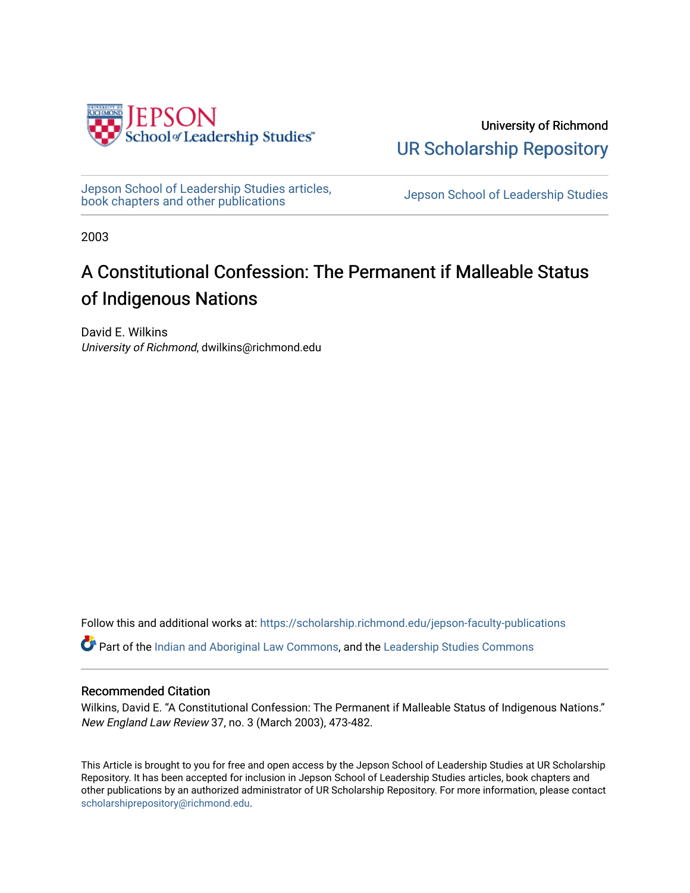

University of Richmond [UR Scholarship Repository](https://scholarship.richmond.edu/) 

[Jepson School of Leadership Studies articles,](https://scholarship.richmond.edu/jepson-faculty-publications) bepson School of Leadership Studies articles,<br>[book chapters and other publications](https://scholarship.richmond.edu/jepson-faculty-publications) book chapters and other publications

2003

## A Constitutional Confession: The Permanent if Malleable Status of Indigenous Nations

David E. Wilkins University of Richmond, dwilkins@richmond.edu

Follow this and additional works at: [https://scholarship.richmond.edu/jepson-faculty-publications](https://scholarship.richmond.edu/jepson-faculty-publications?utm_source=scholarship.richmond.edu%2Fjepson-faculty-publications%2F282&utm_medium=PDF&utm_campaign=PDFCoverPages)

**Part of the [Indian and Aboriginal Law Commons,](http://network.bepress.com/hgg/discipline/894?utm_source=scholarship.richmond.edu%2Fjepson-faculty-publications%2F282&utm_medium=PDF&utm_campaign=PDFCoverPages) and the Leadership Studies Commons** 

#### Recommended Citation

Wilkins, David E. "A Constitutional Confession: The Permanent if Malleable Status of Indigenous Nations." New England Law Review 37, no. 3 (March 2003), 473-482.

This Article is brought to you for free and open access by the Jepson School of Leadership Studies at UR Scholarship Repository. It has been accepted for inclusion in Jepson School of Leadership Studies articles, book chapters and other publications by an authorized administrator of UR Scholarship Repository. For more information, please contact [scholarshiprepository@richmond.edu.](mailto:scholarshiprepository@richmond.edu)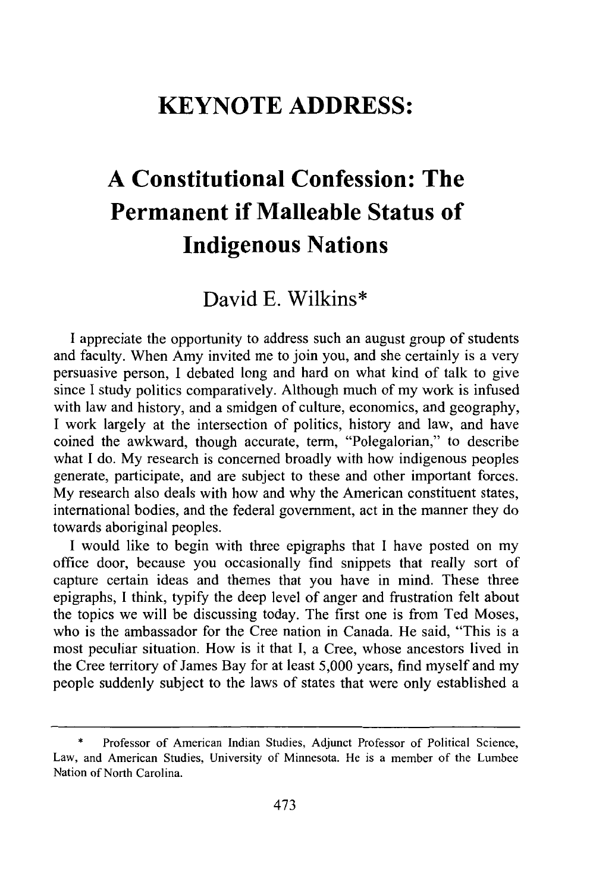### **KEYNOTE ADDRESS:**

# **A Constitutional Confession: The Permanent if Malleable Status of Indigenous Nations**

### David **E.** Wilkins\*

**I** appreciate the opportunity to address such an august group of students and faculty. When Amy invited me to join you, and she certainly is a very persuasive person, **I** debated long and hard on what kind of talk to give since **I** study politics comparatively. Although much of my work is infused with law and history, and a smidgen of culture, economics, and geography, **I** work largely at the intersection of politics, history and law, and have coined the awkward, though accurate, term, "Polegalorian," to describe what **I** do. **My** research is concerned broadly with how indigenous peoples generate, participate, and are subject to these and other important forces. **My** research also deals with how and why the American constituent states, international bodies, and the federal government, act in the manner they do towards aboriginal peoples.

**I** would like to begin with three epigraphs that **I** have posted on my office door, because you occasionally find snippets that really sort of capture certain ideas and themes that you have in mind. These three epigraphs, **I** think, typify the deep level of anger and frustration felt about the topics we will be discussing today. The first one is from Ted Moses, who is the ambassador for the Cree nation in Canada. He said, "This is a most peculiar situation. How is it that **I,** a Cree, whose ancestors lived in the Cree territory of James Bay for at least **5,000** years, find myself and my people suddenly subject to the laws of states that were only established a

**<sup>\*</sup>** Professor of American Indian Studies, Adjunct Professor of Political Science, Law, and American Studies, University of Minnesota. He is a member of the Lumbee Nation of North Carolina.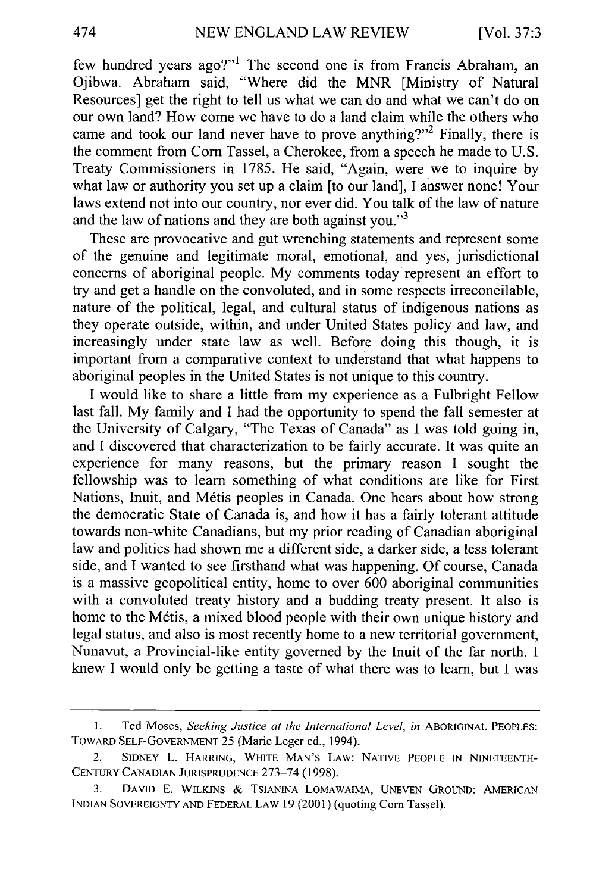few hundred years ago?"' The second one is from Francis Abraham, an Ojibwa. Abraham said, "Where did the MNR [Ministry of Natural Resources] get the right to tell us what we can do and what we can't do on our own land? How come we have to do a land claim while the others who came and took our land never have to prove anything?"<sup>2</sup> Finally, there is the comment from Corn Tassel, a Cherokee, from a speech he made to U.S. Treaty Commissioners in 1785. He said, "Again, were we to inquire by what law or authority you set up a claim [to our land], I answer none! Your laws extend not into our country, nor ever did. You talk of the law of nature and the law of nations and they are both against you."<sup>3</sup>

These are provocative and gut wrenching statements and represent some of the genuine and legitimate moral, emotional, and yes, jurisdictional concerns of aboriginal people. My comments today represent an effort to try and get a handle on the convoluted, and in some respects irreconcilable, nature of the political, legal, and cultural status of indigenous nations as they operate outside, within, and under United States policy and law, and increasingly under state law as well. Before doing this though, it is important from a comparative context to understand that what happens to aboriginal peoples in the United States is not unique to this country.

I would like to share a little from my experience as a Fulbright Fellow last fall. My family and I had the opportunity to spend the fall semester at the University of Calgary, "The Texas of Canada" as I was told going in, and I discovered that characterization to be fairly accurate. It was quite an experience for many reasons, but the primary reason I sought the fellowship was to learn something of what conditions are like for First Nations, Inuit, and Métis peoples in Canada. One hears about how strong the democratic State of Canada is, and how it has a fairly tolerant attitude towards non-white Canadians, but my prior reading of Canadian aboriginal law and politics had shown me a different side, a darker side, a less tolerant side, and I wanted to see firsthand what was happening. Of course, Canada is a massive geopolitical entity, home to over 600 aboriginal communities with a convoluted treaty history and a budding treaty present. It also is home to the Métis, a mixed blood people with their own unique history and legal status, and also is most recently home to a new territorial government, Nunavut, a Provincial-like entity governed by the Inuit of the far north. I knew I would only be getting a taste of what there was to learn, but I was

474

<sup>1.</sup> Ted Moses, *Seeking Justice at the International Level*, in ABORIGINAL PEOPLES: TOWARD SELF-GOVERNMENT 25 (Marie Leger ed., 1994).

SIDNEY L. HARRING, WHITE MAN'S LAW: NATIVE PEOPLE IN NINETEENTH-CENTURY CANADIAN JURISPRUDENCE 273-74 (1998).

<sup>3.</sup> DAVID E. WILKINS *&* TSIANINA LOMAWAIMA, UNEVEN GROUND: AMERICAN INDIAN SOVEREIGNTY AND FEDERAL LAW 19 (2001) (quoting Corn Tassel).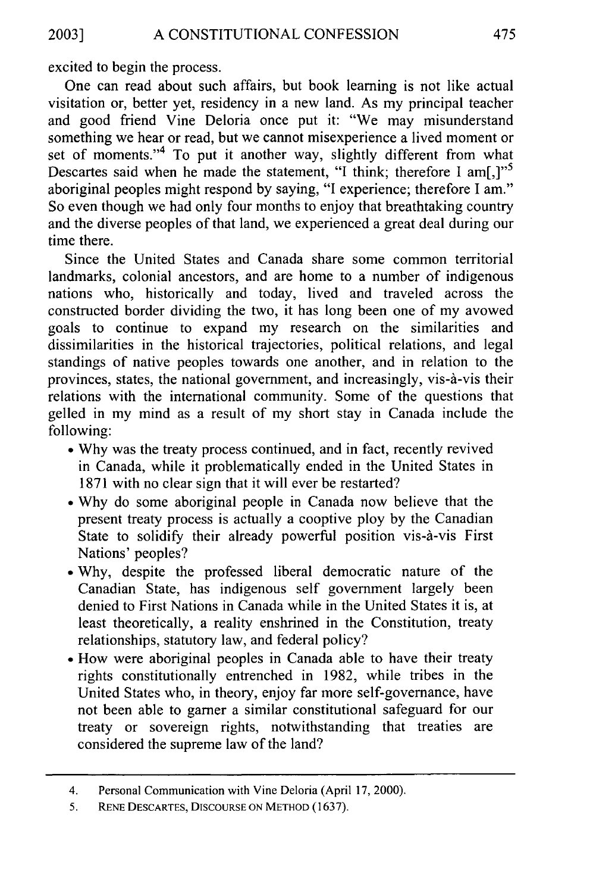excited to begin the process.

One can read about such affairs, but book learning is not like actual visitation or, better yet, residency in a new land. As my principal teacher and good friend Vine Deloria once put it: "We may misunderstand something we hear or read, but we cannot misexperience a lived moment or set of moments."<sup>4</sup> To put it another way, slightly different from what Descartes said when he made the statement, "I think; therefore I am[,]"<sup>5</sup> aboriginal peoples might respond by saying, "I experience; therefore I am." So even though we had only four months to enjoy that breathtaking country and the diverse peoples of that land, we experienced a great deal during our time there.

Since the United States and Canada share some common territorial landmarks, colonial ancestors, and are home to a number of indigenous nations who, historically and today, lived and traveled across the constructed border dividing the two, it has long been one of my avowed goals to continue to expand my research on the similarities and dissimilarities in the historical trajectories, political relations, and legal standings of native peoples towards one another, and in relation to the provinces, states, the national government, and increasingly, vis-&-vis their relations with the international community. Some of the questions that gelled in my mind as a result of my short stay in Canada include the following:

- **"** Why was the treaty process continued, and in fact, recently revived in Canada, while it problematically ended in the United States in 1871 with no clear sign that it will ever be restarted?
- **"** Why do some aboriginal people in Canada now believe that the present treaty process is actually a cooptive ploy by the Canadian State to solidify their already powerful position vis-à-vis First Nations' peoples?
- **"** Why, despite the professed liberal democratic nature of the Canadian State, has indigenous self government largely been denied to First Nations in Canada while in the United States it is, at least theoretically, a reality enshrined in the Constitution, treaty relationships, statutory law, and federal policy?
- \* How were aboriginal peoples in Canada able to have their treaty rights constitutionally entrenched in 1982, while tribes in the United States who, in theory, enjoy far more self-governance, have not been able to garner a similar constitutional safeguard for our treaty or sovereign rights, notwithstanding that treaties are considered the supreme law of the land?

<sup>4.</sup> Personal Communication with Vine Deloria (April 17, 2000).

<sup>5.</sup> **RENE** DESCARTES, **DISCOURSE ON** METHOD (1637).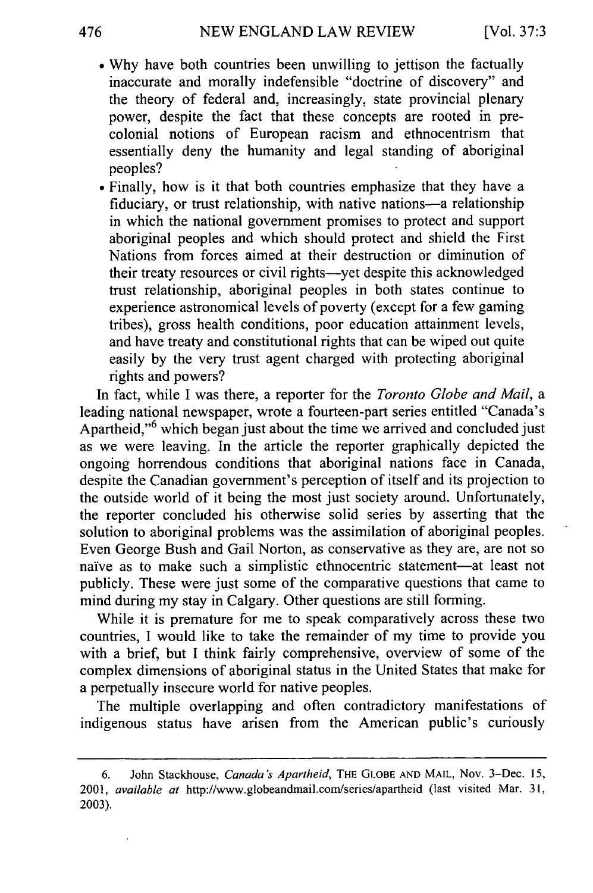- **"** Why have both countries been unwilling to jettison the factually inaccurate and morally indefensible "doctrine of discovery" and the theory of federal and, increasingly, state provincial plenary power, despite the fact that these concepts are rooted in precolonial notions of European racism and ethnocentrism that essentially deny the humanity and legal standing of aboriginal peoples?
- Finally, how is it that both countries emphasize that they have a fiduciary, or trust relationship, with native nations-a relationship in which the national government promises to protect and support aboriginal peoples and which should protect and shield the First Nations from forces aimed at their destruction or diminution of their treaty resources or civil rights--- yet despite this acknowledged trust relationship, aboriginal peoples in both states continue to experience astronomical levels of poverty (except for a few gaming tribes), gross health conditions, poor education attainment levels, and have treaty and constitutional rights that can be wiped out quite easily by the very trust agent charged with protecting aboriginal rights and powers?

In fact, while I was there, a reporter for the *Toronto Globe and Mail, a* leading national newspaper, wrote a fourteen-part series entitled "Canada's Apartheid,"<sup>6</sup> which began just about the time we arrived and concluded just as we were leaving. In the article the reporter graphically depicted the ongoing horrendous conditions that aboriginal nations face in Canada, despite the Canadian government's perception of itself and its projection to the outside world of it being the most just society around. Unfortunately, the reporter concluded his otherwise solid series by asserting that the solution to aboriginal problems was the assimilation of aboriginal peoples. Even George Bush and Gail Norton, as conservative as they are, are not so naive as to make such a simplistic ethnocentric statement-at least not publicly. These were just some of the comparative questions that came to mind during my stay in Calgary. Other questions are still forming.

While it is premature for me to speak comparatively across these two countries, I would like to take the remainder of my time to provide you with a brief, but I think fairly comprehensive, overview of some of the complex dimensions of aboriginal status in the United States that make for a perpetually insecure world for native peoples.

The multiple overlapping and often contradictory manifestations of indigenous status have arisen from the American public's curiously

<sup>6.</sup> John Stackhouse, *Canada's Apartheid,* THE **GLOBE** AND MAIL, Nov. 3-Dec. 15, 2001, *available at* http://www.globeandmail.com/series/apartheid (last visited Mar. 31, 2003).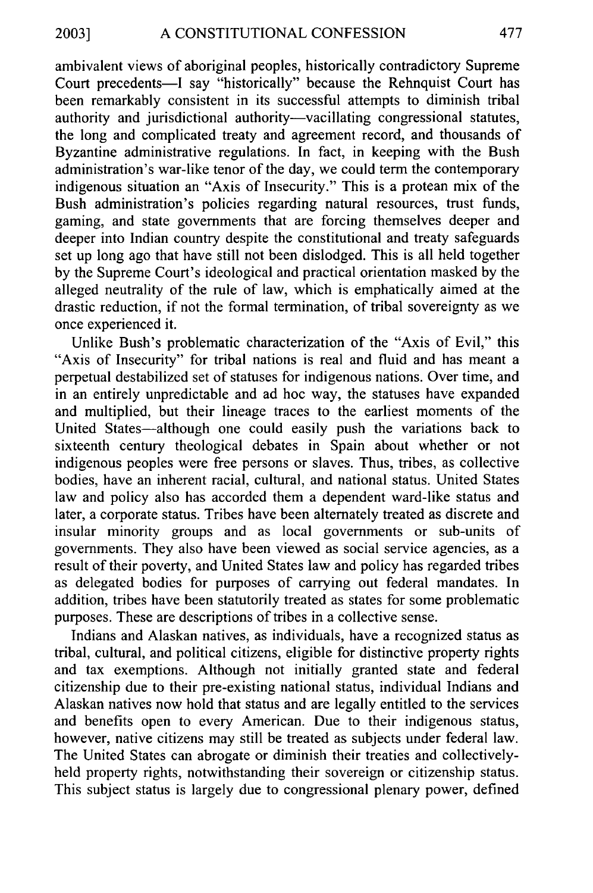ambivalent views of aboriginal peoples, historically contradictory Supreme Court precedents-I say "historically" because the Rehnquist Court has been remarkably consistent in its successful attempts to diminish tribal authority and jurisdictional authority-vacillating congressional statutes, the long and complicated treaty and agreement record, and thousands of Byzantine administrative regulations. In fact, in keeping with the Bush administration's war-like tenor of the day, we could term the contemporary indigenous situation an "Axis of Insecurity." This is a protean mix of the Bush administration's policies regarding natural resources, trust funds, gaming, and state governments that are forcing themselves deeper and deeper into Indian country despite the constitutional and treaty safeguards set up long ago that have still not been dislodged. This is all held together by the Supreme Court's ideological and practical orientation masked by the alleged neutrality of the rule of law, which is emphatically aimed at the drastic reduction, if not the formal termination, of tribal sovereignty as we once experienced it.

Unlike Bush's problematic characterization of the "Axis of Evil," this "Axis of Insecurity" for tribal nations is real and fluid and has meant a perpetual destabilized set of statuses for indigenous nations. Over time, and in an entirely unpredictable and ad hoc way, the statuses have expanded and multiplied, but their lineage traces to the earliest moments of the United States-although one could easily push the variations back to sixteenth century theological debates in Spain about whether or not indigenous peoples were free persons or slaves. Thus, tribes, as collective bodies, have an inherent racial, cultural, and national status. United States law and policy also has accorded them a dependent ward-like status and later, a corporate status. Tribes have been alternately treated as discrete and insular minority groups and as local governments or sub-units of governments. They also have been viewed as social service agencies, as a result of their poverty, and United States law and policy has regarded tribes as delegated bodies for purposes of carrying out federal mandates. In addition, tribes have been statutorily treated as states for some problematic purposes. These are descriptions of tribes in a collective sense.

Indians and Alaskan natives, as individuals, have a recognized status as tribal, cultural, and political citizens, eligible for distinctive property rights and tax exemptions. Although not initially granted state and federal citizenship due to their pre-existing national status, individual Indians and Alaskan natives now hold that status and are legally entitled to the services and benefits open to every American. Due to their indigenous status, however, native citizens may still be treated as subjects under federal law. The United States can abrogate or diminish their treaties and collectivelyheld property rights, notwithstanding their sovereign or citizenship status. This subject status is largely due to congressional plenary power, defined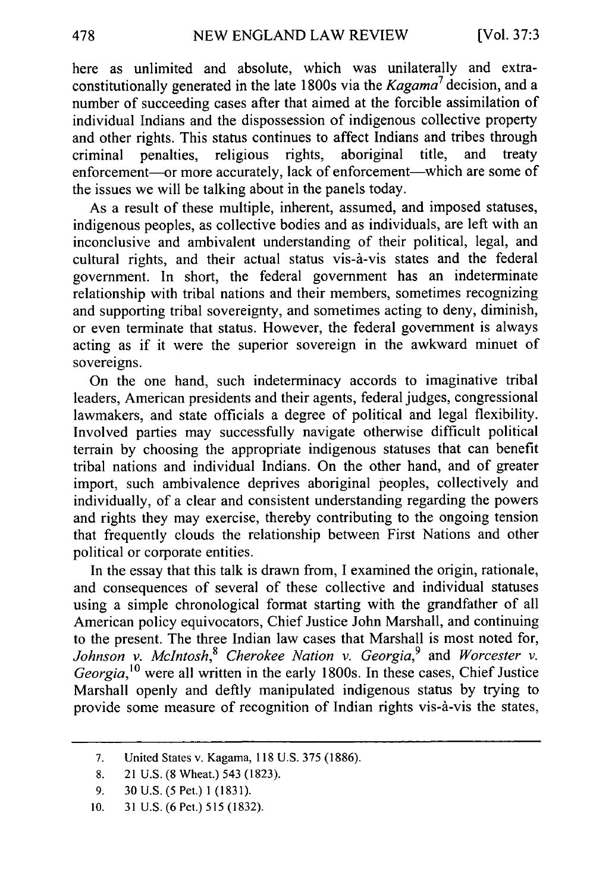here as unlimited and absolute, which was unilaterally and extraconstitutionally generated in the late 1800s via the *Kagama7* decision, and a number of succeeding cases after that aimed at the forcible assimilation of individual Indians and the dispossession of indigenous collective property and other rights. This status continues to affect Indians and tribes through<br>criminal penalties religious rights, aboriginal title, and treaty criminal penalties, religious rights, aboriginal enforcement-or more accurately, lack of enforcement-which are some of the issues we will be talking about in the panels today.

As a result of these multiple, inherent, assumed, and imposed statuses, indigenous peoples, as collective bodies and as individuals, are left with an inconclusive and ambivalent understanding of their political, legal, and cultural rights, and their actual status vis-d-vis states and the federal government. In short, the federal government has an indeterminate relationship with tribal nations and their members, sometimes recognizing and supporting tribal sovereignty, and sometimes acting to deny, diminish, or even terminate that status. However, the federal government is always acting as if it were the superior sovereign in the awkward minuet of sovereigns.

On the one hand, such indeterminacy accords to imaginative tribal leaders, American presidents and their agents, federal judges, congressional lawmakers, and state officials a degree of political and legal flexibility. Involved parties may successfully navigate otherwise difficult political terrain by choosing the appropriate indigenous statuses that can benefit tribal nations and individual Indians. On the other hand, and of greater import, such ambivalence deprives aboriginal peoples, collectively and individually, of a clear and consistent understanding regarding the powers and rights they may exercise, thereby contributing to the ongoing tension that frequently clouds the relationship between First Nations and other political or corporate entities.

In the essay that this talk is drawn from, I examined the origin, rationale, and consequences of several of these collective and individual statuses using a simple chronological format starting with the grandfather of all American policy equivocators, Chief Justice John Marshall, and continuing to the present. The three Indian law cases that Marshall is most noted for, *Johnson v. McIntosh,8 Cherokee Nation v. Georgia,9* and *Worcester v. Georgia,'0* were all written in the early 1800s. In these cases, Chief Justice Marshall openly and deftly manipulated indigenous status by trying to provide some measure of recognition of Indian rights vis-d-vis the states,

<sup>7.</sup> United States v. Kagama, 118 U.S. 375 (1886).

<sup>8. 21</sup> U.S. (8 Wheat.) 543 (1823).

<sup>9. 30</sup> U.S. (5 Pet.) 1 (1831).

<sup>10. 31</sup> U.S. (6 Pet.) 515 (1832).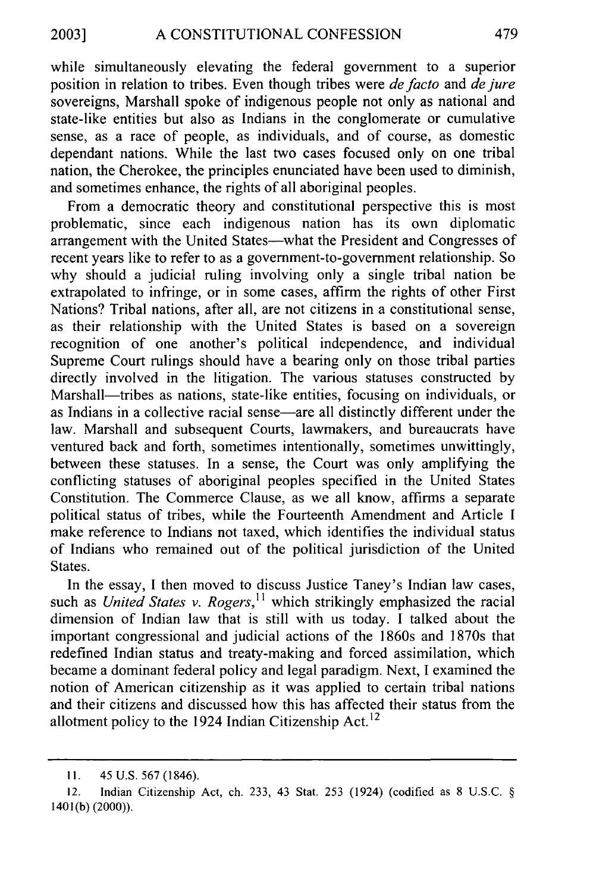while simultaneously elevating the federal government to a superior position in relation to tribes. Even though tribes were *defacto* and *dejure* sovereigns, Marshall spoke of indigenous people not only as national and state-like entities but also as Indians in the conglomerate or cumulative sense, as a race of people, as individuals, and of course, as domestic dependant nations. While the last two cases focused only on one tribal nation, the Cherokee, the principles enunciated have been used to diminish, and sometimes enhance, the rights of all aboriginal peoples.

From a democratic theory and constitutional perspective this is most problematic, since each indigenous nation has its own diplomatic arrangement with the United States-what the President and Congresses of recent years like to refer to as a government-to-government relationship. So why should a judicial ruling involving only a single tribal nation be extrapolated to infringe, or in some cases, affirm the rights of other First Nations? Tribal nations, after all, are not citizens in a constitutional sense, as their relationship with the United States is based on a sovereign recognition of one another's political independence, and individual Supreme Court rulings should have a bearing only on those tribal parties directly involved in the litigation. The various statuses constructed by Marshall—tribes as nations, state-like entities, focusing on individuals, or as Indians in a collective racial sense—are all distinctly different under the law. Marshall and subsequent Courts, lawmakers, and bureaucrats have ventured back and forth, sometimes intentionally, sometimes unwittingly, between these statuses. In a sense, the Court was only amplifying the conflicting statuses of aboriginal peoples specified in the United States Constitution. The Commerce Clause, as we all know, affirms a separate political status of tribes, while the Fourteenth Amendment and Article I make reference to Indians not taxed, which identifies the individual status of Indians who remained out of the political jurisdiction of the United States.

In the essay, I then moved to discuss Justice Taney's Indian law cases such as *United States v. Rogers*,<sup>11</sup> which strikingly emphasized the racial dimension of Indian law that is still with us today. I talked about the important congressional and judicial actions of the 1860s and 1870s that redefined Indian status and treaty-making and forced assimilation, which became a dominant federal policy and legal paradigm. Next, I examined the notion of American citizenship as it was applied to certain tribal nations and their citizens and discussed how this has affected their status from the allotment policy to the 1924 Indian Citizenship Act.<sup>12</sup>

**<sup>11.</sup>** 45 U.S. 567 (1846).

<sup>12.</sup> Indian Citizenship Act, ch. 233, 43 Stat. 253 (1924) (codified as 8 U.S.C. § 1401 **(b)** (2000)).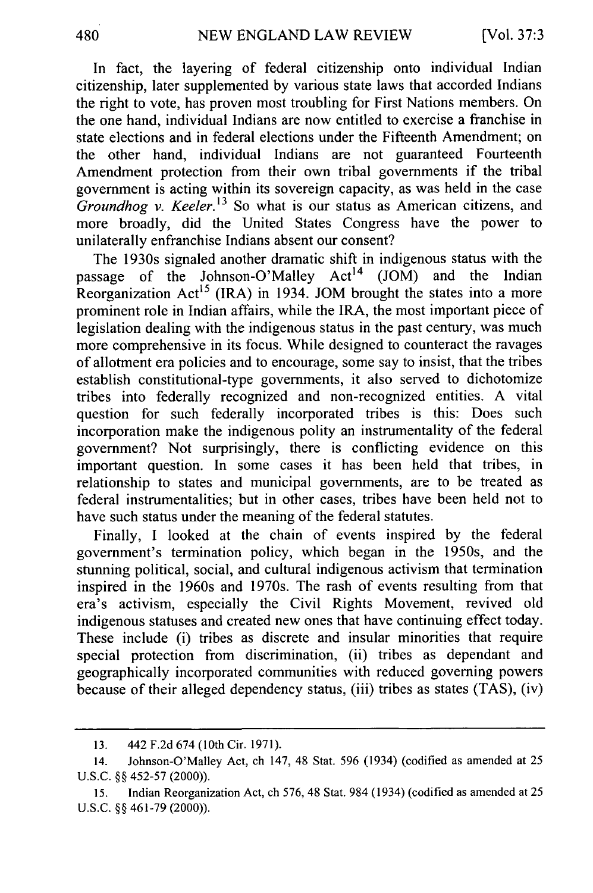In fact, the layering of federal citizenship onto individual Indian citizenship, later supplemented by various state laws that accorded Indians the right to vote, has proven most troubling for First Nations members. On the one hand, individual Indians are now entitled to exercise a franchise in state elections and in federal elections under the Fifteenth Amendment; on the other hand, individual Indians are not guaranteed Fourteenth Amendment protection from their own tribal governments if the tribal government is acting within its sovereign capacity, as was held in the case *Groundhog v. Keeler.13* So what is our status as American citizens, and more broadly, did the United States Congress have the power to unilaterally enfranchise Indians absent our consent?

The 1930s signaled another dramatic shift in indigenous status with the ssage of the Johnson-O'Malley  $Act^{14}$  (JOM) and the Indian passage of the Johnson-O'Malley Act<sup>14</sup> (JOM) and the Indian Reorganization  $Act^{15}$  (IRA) in 1934. JOM brought the states into a more prominent role in Indian affairs, while the IRA, the most important piece of legislation dealing with the indigenous status in the past century, was much more comprehensive in its focus. While designed to counteract the ravages of allotment era policies and to encourage, some say to insist, that the tribes establish constitutional-type governments, it also served to dichotomize tribes into federally recognized and non-recognized entities. A vital question for such federally incorporated tribes is this: Does such incorporation make the indigenous polity an instrumentality of the federal government? Not surprisingly, there is conflicting evidence on this important question. In some cases it has been held that tribes, in relationship to states and municipal governments, are to be treated as federal instrumentalities; but in other cases, tribes have been held not to have such status under the meaning of the federal statutes.

Finally, I looked at the chain of events inspired by the federal government's termination policy, which began in the 1950s, and the stunning political, social, and cultural indigenous activism that termination inspired in the 1960s and 1970s. The rash of events resulting from that era's activism, especially the Civil Rights Movement, revived old indigenous statuses and created new ones that have continuing effect today. These include (i) tribes as discrete and insular minorities that require special protection from discrimination, (ii) tribes as dependant and geographically incorporated communities with reduced governing powers because of their alleged dependency status, (iii) tribes as states (TAS), (iv)

<sup>13. 442</sup> F.2d 674 (10th Cir. 1971).

<sup>14.</sup> Johnson-O'Malley Act, ch 147, 48 Stat. 596 (1934) (codified as amended at 25 U.S.C. §§ 452-57 (2000)).

<sup>15.</sup> Indian Reorganization Act, ch 576, 48 Stat. 984 (1934) (codified as amended at 25 U.S.C. §§ 461-79 (2000)).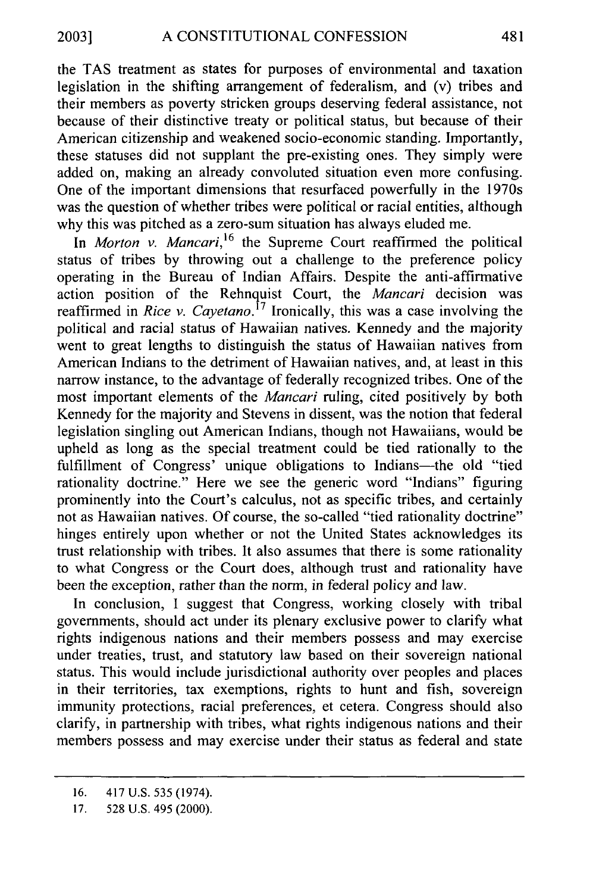the TAS treatment as states for purposes of environmental and taxation legislation in the shifting arrangement of federalism, and (v) tribes and their members as poverty stricken groups deserving federal assistance, not because of their distinctive treaty or political status, but because of their American citizenship and weakened socio-economic standing. Importantly, these statuses did not supplant the pre-existing ones. They simply were added on, making an already convoluted situation even more confusing. One of the important dimensions that resurfaced powerfully in the 1970s was the question of whether tribes were political or racial entities, although why this was pitched as a zero-sum situation has always eluded me.

In *Morton v. Mancari*,<sup>16</sup> the Supreme Court reaffirmed the political status of tribes by throwing out a challenge to the preference policy operating in the Bureau of Indian Affairs. Despite the anti-affirmative action position of the Rehnquist Court, the *Mancari* decision was reaffirmed in *Rice v. Cayetano.*<sup>17</sup> Ironically, this was a case involving the political and racial status of Hawaiian natives. Kennedy and the majority went to great lengths to distinguish the status of Hawaiian natives from American Indians to the detriment of Hawaiian natives, and, at least in this narrow instance, to the advantage of federally recognized tribes. One of the most important elements of the *Mancari* ruling, cited positively by both Kennedy for the majority and Stevens in dissent, was the notion that federal legislation singling out American Indians, though not Hawaiians, would be upheld as long as the special treatment could be tied rationally to the fulfillment of Congress' unique obligations to Indians-the old "tied rationality doctrine." Here we see the generic word "Indians" figuring prominently into the Court's calculus, not as specific tribes, and certainly not as Hawaiian natives. Of course, the so-called "tied rationality doctrine" hinges entirely upon whether or not the United States acknowledges its trust relationship with tribes. It also assumes that there is some rationality to what Congress or the Court does, although trust and rationality have been the exception, rather than the norm, in federal policy and law.

In conclusion, I suggest that Congress, working closely with tribal governments, should act under its plenary exclusive power to clarify what rights indigenous nations and their members possess and may exercise under treaties, trust, and statutory law based on their sovereign national status. This would include jurisdictional authority over peoples and places in their territories, tax exemptions, rights to hunt and fish, sovereign immunity protections, racial preferences, et cetera. Congress should also clarify, in partnership with tribes, what rights indigenous nations and their members possess and may exercise under their status as federal and state

<sup>16. 417</sup> U.S. 535 (1974).

<sup>17. 528</sup> U.S. 495 (2000).